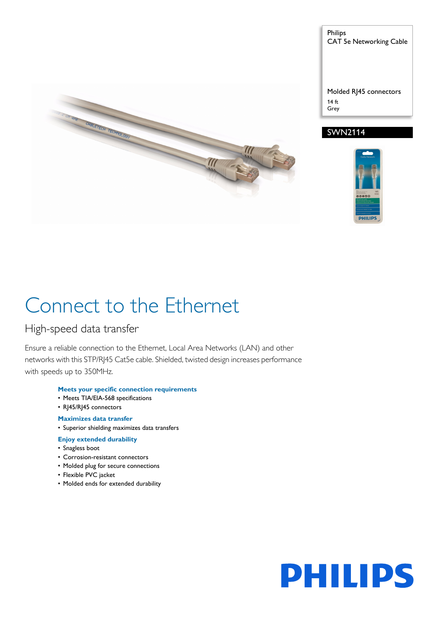

Philips CAT 5e Networking Cable

Molded RJ45 connectors 14 ft Grey

# SWN2114



# Connect to the Ethernet

# High-speed data transfer

Ensure a reliable connection to the Ethernet, Local Area Networks (LAN) and other networks with this STP/RJ45 Cat5e cable. Shielded, twisted design increases performance with speeds up to 350MHz.

# **Meets your specific connection requirements**

- Meets TIA/EIA-568 specifications
- R|45/R|45 connectors

# **Maximizes data transfer**

- Superior shielding maximizes data transfers
- **Enjoy extended durability**
- Snagless boot
- Corrosion-resistant connectors
- Molded plug for secure connections
- Flexible PVC jacket
- Molded ends for extended durability